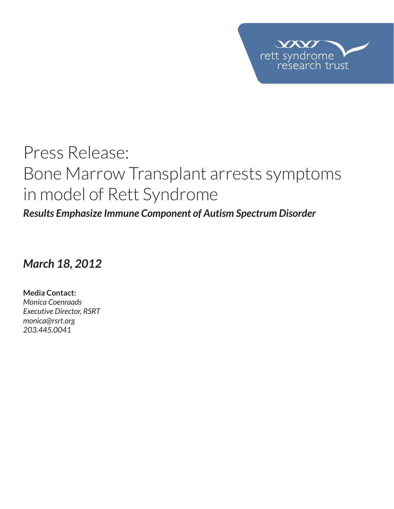

# Press Release: Bone Marrow Transplant arrests symptoms in model of Rett Syndrome

*Results Emphasize Immune Component of Autism Spectrum Disorder*

*March 18, 2012* 

**Media Contact:**  *Monica Coenraads Executive Director, RSRT monica@rsrt.org 203.445.0041*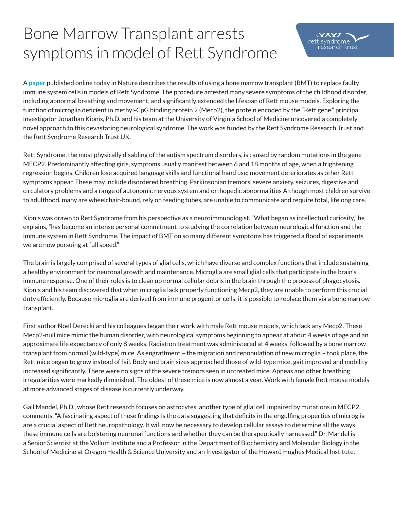## Bone Marrow Transplant arrests symptoms in model of Rett Syndrome

A **paper** published online today in Nature describes the results of using a bone marrow transplant (BMT) to replace faulty immune system cells in models of Rett Syndrome. The procedure arrested many severe symptoms of the childhood disorder, including abnormal breathing and movement, and significantly extended the lifespan of Rett mouse models. Exploring the function of microglia deficient in methyl-CpG binding protein 2 (Mecp2), the protein encoded by the "Rett gene," principal investigator Jonathan Kipnis, Ph.D. and his team at the University of Virginia School of Medicine uncovered a completely novel approach to this devastating neurological syndrome. The work was funded by the Rett Syndrome Research Trust and the Rett Syndrome Research Trust UK.

 $VX$ rett syndrome

earch trust

Rett Syndrome, the most physically disabling of the autism spectrum disorders, is caused by random mutations in the gene MECP2. Predominantly affecting girls, symptoms usually manifest between 6 and 18 months of age, when a frightening regression begins. Children lose acquired language skills and functional hand use; movement deteriorates as other Rett symptoms appear. These may include disordered breathing, Parkinsonian tremors, severe anxiety, seizures, digestive and circulatory problems and a range of autonomic nervous system and orthopedic abnormalities Although most children survive to adulthood, many are wheelchair-bound, rely on feeding tubes, are unable to communicate and require total, lifelong care.

Kipnis was drawn to Rett Syndrome from his perspective as a neuroimmunologist. "What began as intellectual curiosity," he explains, "has become an intense personal commitment to studying the correlation between neurological function and the immune system in Rett Syndrome. The impact of BMT on so many different symptoms has triggered a flood of experiments we are now pursuing at full speed."

The brain is largely comprised of several types of glial cells, which have diverse and complex functions that include sustaining a healthy environment for neuronal growth and maintenance. Microglia are small glial cells that participate in the brain's immune response. One of their roles is to clean up normal cellular debris in the brain through the process of phagocytosis. Kipnis and his team discovered that when microglia lack properly functioning Mecp2, they are unable to perform this crucial duty efficiently. Because microglia are derived from immune progenitor cells, it is possible to replace them via a bone marrow transplant.

First author Noël Derecki and his colleagues began their work with male Rett mouse models, which lack any Mecp2. These Mecp2-null mice mimic the human disorder, with neurological symptoms beginning to appear at about 4 weeks of age and an approximate life expectancy of only 8 weeks. Radiation treatment was administered at 4 weeks, followed by a bone marrow transplant from normal (wild-type) mice. As engraftment – the migration and repopulation of new microglia – took place, the Rett mice began to grow instead of fail. Body and brain sizes approached those of wild-type mice, gait improved and mobility increased significantly. There were no signs of the severe tremors seen in untreated mice. Apneas and other breathing irregularities were markedly diminished. The oldest of these mice is now almost a year. Work with female Rett mouse models at more advanced stages of disease is currently underway.

Gail Mandel, Ph.D., whose Rett research focuses on astrocytes, another type of glial cell impaired by mutations in MECP2, comments, "A fascinating aspect of these findings is the data suggesting that deficits in the engulfing properties of microglia are a crucial aspect of Rett neuropathology. It will now be necessary to develop cellular assays to determine all the ways these immune cells are bolstering neuronal functions and whether they can be therapeutically harnessed." Dr. Mandel is a Senior Scientist at the Vollum Institute and a Professor in the Department of Biochemistry and Molecular Biology in the School of Medicine at Oregon Health & Science University and an Investigator of the Howard Hughes Medical Institute.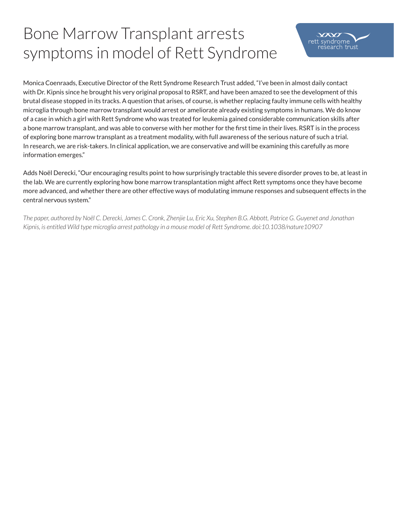## Bone Marrow Transplant arrests symptoms in model of Rett Syndrome

Monica Coenraads, Executive Director of the Rett Syndrome Research Trust added, "I've been in almost daily contact with Dr. Kipnis since he brought his very original proposal to RSRT, and have been amazed to see the development of this brutal disease stopped in its tracks. A question that arises, of course, is whether replacing faulty immune cells with healthy microglia through bone marrow transplant would arrest or ameliorate already existing symptoms in humans. We do know of a case in which a girl with Rett Syndrome who was treated for leukemia gained considerable communication skills after a bone marrow transplant, and was able to converse with her mother for the first time in their lives. RSRT is in the process of exploring bone marrow transplant as a treatment modality, with full awareness of the serious nature of such a trial. In research, we are risk-takers. In clinical application, we are conservative and will be examining this carefully as more information emerges."

Adds Noël Derecki, "Our encouraging results point to how surprisingly tractable this severe disorder proves to be, at least in the lab. We are currently exploring how bone marrow transplantation might affect Rett symptoms once they have become more advanced, and whether there are other effective ways of modulating immune responses and subsequent effects in the central nervous system."

*The paper, authored by Noël C. Derecki, James C. Cronk, Zhenjie Lu, Eric Xu, Stephen B.G. Abbott, Patrice G. Guyenet and Jonathan Kipnis, is entitled Wild type microglia arrest pathology in a mouse model of Rett Syndrome. doi:10.1038/nature10907*